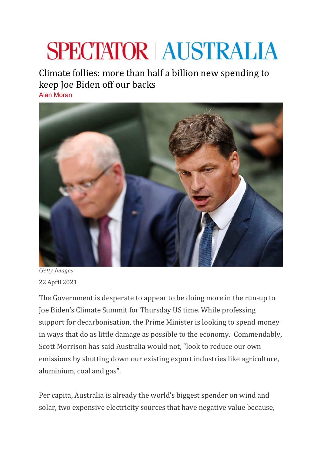## **SPECTATOR AUSTRALIA**

Climate follies: more than half a billion new spending to keep Joe Biden off our backs [Alan Moran](https://www.spectator.com.au/author/alanmoran/)



*Getty Images* 22 April 2021

The Government is desperate to appear to be doing more in the run-up to Joe Biden's Climate Summit for Thursday US time. While professing support for decarbonisation, the Prime Minister is looking to spend money in ways that do as little damage as possible to the economy. Commendably, Scott Morrison has said Australia would not, "look to reduce our own emissions by shutting down our existing export industries like agriculture, aluminium, coal and gas".

Per capita, Australia is already the world's biggest spender on wind and solar, two expensive electricity sources that have negative value because,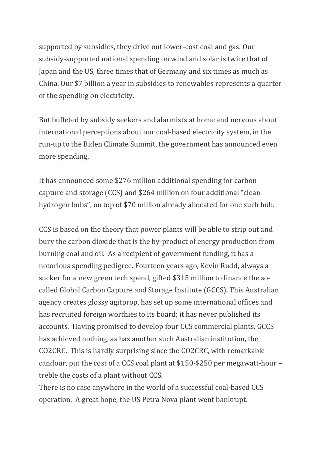supported by subsidies, they drive out lower-cost coal and gas. Our subsidy-supported national spending on wind and solar is twice that of Japan and the US, three times that of Germany and six times as much as China. Our \$7 billion a year in subsidies to renewables represents a quarter of the spending on electricity.

But buffeted by subsidy seekers and alarmists at home and nervous about international perceptions about our coal-based electricity system, in the run-up to the Biden Climate Summit, the government has announced even more spending.

It has announced some \$276 million additional spending for carbon capture and storage (CCS) and \$264 million on four additional "clean hydrogen hubs", on top of \$70 million already allocated for one such hub.

CCS is based on the theory that power plants will be able to strip out and bury the carbon dioxide that is the by-product of energy production from burning coal and oil. As a recipient of government funding, it has a notorious spending pedigree. Fourteen years ago, Kevin Rudd, always a sucker for a new green tech spend, gifted \$315 million to finance the socalled Global Carbon Capture and Storage Institute (GCCS). This Australian agency creates glossy agitprop, has set up some international offices and has recruited foreign worthies to its board; it has never published its accounts. Having promised to develop four CCS commercial plants, GCCS has achieved nothing, as has another such Australian institution, the CO2CRC. This is hardly surprising since the CO2CRC, with remarkable candour, put the cost of a CCS coal plant at \$150-\$250 per megawatt-hour – treble the costs of a plant without CCS.

There is no case anywhere in the world of a successful coal-based CCS operation. A great hope, the US Petra Nova plant went bankrupt.